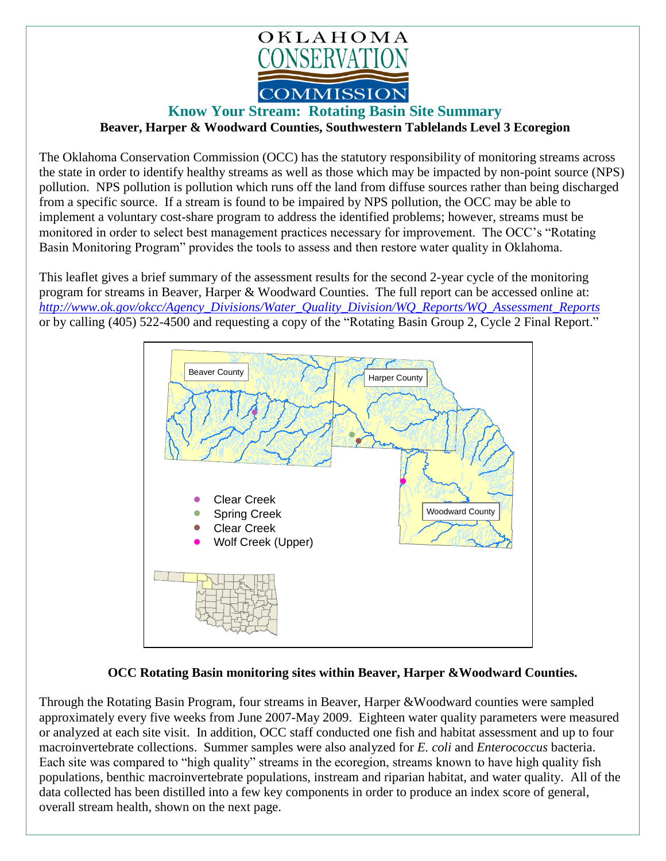

## **Know Your Stream: Rotating Basin Site Summary**

**Beaver, Harper & Woodward Counties, Southwestern Tablelands Level 3 Ecoregion** 

The Oklahoma Conservation Commission (OCC) has the statutory responsibility of monitoring streams across the state in order to identify healthy streams as well as those which may be impacted by non-point source (NPS) pollution. NPS pollution is pollution which runs off the land from diffuse sources rather than being discharged from a specific source. If a stream is found to be impaired by NPS pollution, the OCC may be able to implement a voluntary cost-share program to address the identified problems; however, streams must be monitored in order to select best management practices necessary for improvement. The OCC's "Rotating Basin Monitoring Program" provides the tools to assess and then restore water quality in Oklahoma.

This leaflet gives a brief summary of the assessment results for the second 2-year cycle of the monitoring program for streams in Beaver, Harper & Woodward Counties. The full report can be accessed online at: *[http://www.ok.gov/okcc/Agency\\_Divisions/Water\\_Quality\\_Division/WQ\\_Reports/WQ\\_Assessment\\_Reports](http://www.ok.gov/okcc/Agency_Divisions/Water_Quality_Division/WQ_Reports/WQ_Assessment_Reports)* or by calling (405) 522-4500 and requesting a copy of the "Rotating Basin Group 2, Cycle 2 Final Report."



## **OCC Rotating Basin monitoring sites within Beaver, Harper &Woodward Counties.**

Through the Rotating Basin Program, four streams in Beaver, Harper &Woodward counties were sampled approximately every five weeks from June 2007-May 2009. Eighteen water quality parameters were measured or analyzed at each site visit. In addition, OCC staff conducted one fish and habitat assessment and up to four macroinvertebrate collections. Summer samples were also analyzed for *E. coli* and *Enterococcus* bacteria. Each site was compared to "high quality" streams in the ecoregion, streams known to have high quality fish populations, benthic macroinvertebrate populations, instream and riparian habitat, and water quality. All of the data collected has been distilled into a few key components in order to produce an index score of general, overall stream health, shown on the next page.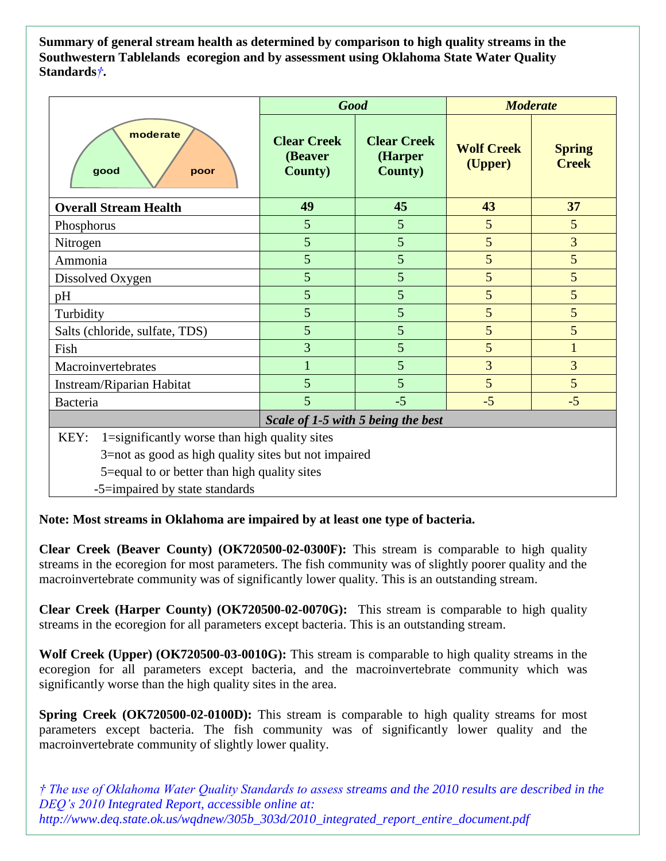**Summary of general stream health as determined by comparison to high quality streams in the Southwestern Tablelands ecoregion and by assessment using Oklahoma State Water Quality Standards***†***.**

|                                                                                                                                                                                                 | <b>Good</b>                                      |                                                  | <b>Moderate</b>              |                               |
|-------------------------------------------------------------------------------------------------------------------------------------------------------------------------------------------------|--------------------------------------------------|--------------------------------------------------|------------------------------|-------------------------------|
| moderate<br>good<br>poor                                                                                                                                                                        | <b>Clear Creek</b><br>(Beaver<br><b>County</b> ) | <b>Clear Creek</b><br>(Harper<br><b>County</b> ) | <b>Wolf Creek</b><br>(Upper) | <b>Spring</b><br><b>Creek</b> |
| <b>Overall Stream Health</b>                                                                                                                                                                    | 49                                               | 45                                               | 43                           | 37                            |
| Phosphorus                                                                                                                                                                                      | 5                                                | 5                                                | 5                            | $5\overline{)}$               |
| Nitrogen                                                                                                                                                                                        | 5                                                | 5                                                | 5                            | 3                             |
| Ammonia                                                                                                                                                                                         | 5                                                | 5                                                | 5                            | 5                             |
| Dissolved Oxygen                                                                                                                                                                                | 5                                                | 5                                                | 5                            | 5                             |
| pH                                                                                                                                                                                              | 5                                                | 5                                                | 5                            | 5                             |
| Turbidity                                                                                                                                                                                       | 5                                                | 5                                                | 5                            | 5                             |
| Salts (chloride, sulfate, TDS)                                                                                                                                                                  | 5                                                | 5                                                | 5                            | 5                             |
| Fish                                                                                                                                                                                            | $\overline{3}$                                   | 5                                                | 5                            | $\mathbf{1}$                  |
| Macroinvertebrates                                                                                                                                                                              |                                                  | 5                                                | 3                            | 3                             |
| Instream/Riparian Habitat                                                                                                                                                                       | 5                                                | 5                                                | 5                            | 5                             |
| Bacteria                                                                                                                                                                                        | 5                                                | $-5$                                             | $-5$                         | $-5$                          |
| Scale of 1-5 with 5 being the best                                                                                                                                                              |                                                  |                                                  |                              |                               |
| 1=significantly worse than high quality sites<br>KEY:<br>3=not as good as high quality sites but not impaired<br>5=equal to or better than high quality sites<br>-5=impaired by state standards |                                                  |                                                  |                              |                               |

## **Note: Most streams in Oklahoma are impaired by at least one type of bacteria.**

**Clear Creek (Beaver County) (OK720500-02-0300F):** This stream is comparable to high quality streams in the ecoregion for most parameters. The fish community was of slightly poorer quality and the macroinvertebrate community was of significantly lower quality. This is an outstanding stream.

**Clear Creek (Harper County) (OK720500-02-0070G):** This stream is comparable to high quality streams in the ecoregion for all parameters except bacteria. This is an outstanding stream.

**Wolf Creek (Upper) (OK720500-03-0010G):** This stream is comparable to high quality streams in the ecoregion for all parameters except bacteria, and the macroinvertebrate community which was significantly worse than the high quality sites in the area.

**Spring Creek (OK720500-02-0100D):** This stream is comparable to high quality streams for most parameters except bacteria. The fish community was of significantly lower quality and the macroinvertebrate community of slightly lower quality.

*† The use of Oklahoma Water Quality Standards to assess streams and the 2010 results are described in the DEQ's 2010 Integrated Report, accessible online at: http://www.deq.state.ok.us/wqdnew/305b\_303d/2010\_integrated\_report\_entire\_document.pdf*